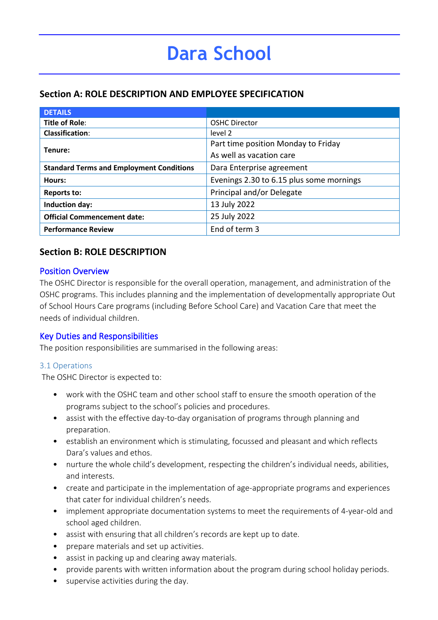## **Section A: ROLE DESCRIPTION AND EMPLOYEE SPECIFICATION**

| <b>DETAILS</b>                                  |                                          |
|-------------------------------------------------|------------------------------------------|
| <b>Title of Role:</b>                           | <b>OSHC Director</b>                     |
| <b>Classification:</b>                          | level 2                                  |
| Tenure:                                         | Part time position Monday to Friday      |
|                                                 | As well as vacation care                 |
| <b>Standard Terms and Employment Conditions</b> | Dara Enterprise agreement                |
| Hours:                                          | Evenings 2.30 to 6.15 plus some mornings |
| <b>Reports to:</b>                              | Principal and/or Delegate                |
| Induction day:                                  | 13 July 2022                             |
| <b>Official Commencement date:</b>              | 25 July 2022                             |
| <b>Performance Review</b>                       | End of term 3                            |

## **Section B: ROLE DESCRIPTION**

## Position Overview

The OSHC Director is responsible for the overall operation, management, and administration of the OSHC programs. This includes planning and the implementation of developmentally appropriate Out of School Hours Care programs (including Before School Care) and Vacation Care that meet the needs of individual children.

## Key Duties and Responsibilities

The position responsibilities are summarised in the following areas:

## 3.1 Operations

The OSHC Director is expected to:

- work with the OSHC team and other school staff to ensure the smooth operation of the programs subject to the school's policies and procedures.
- assist with the effective day-to-day organisation of programs through planning and preparation.
- establish an environment which is stimulating, focussed and pleasant and which reflects Dara's values and ethos.
- nurture the whole child's development, respecting the children's individual needs, abilities, and interests.
- create and participate in the implementation of age-appropriate programs and experiences that cater for individual children's needs.
- implement appropriate documentation systems to meet the requirements of 4-year-old and school aged children.
- assist with ensuring that all children's records are kept up to date.
- prepare materials and set up activities.
- assist in packing up and clearing away materials.
- provide parents with written information about the program during school holiday periods.
- supervise activities during the day.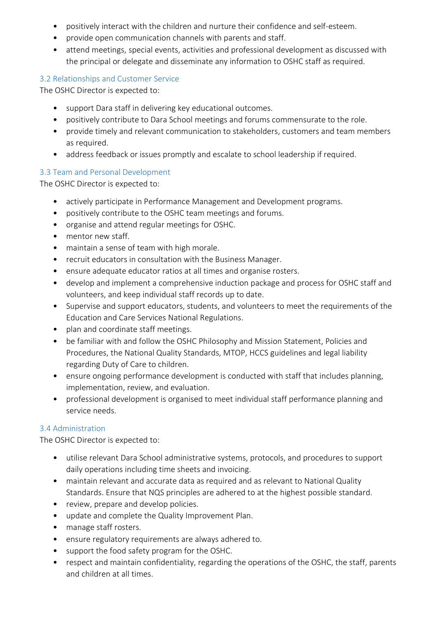- positively interact with the children and nurture their confidence and self-esteem.
- provide open communication channels with parents and staff.
- attend meetings, special events, activities and professional development as discussed with the principal or delegate and disseminate any information to OSHC staff as required.

## 3.2 Relationships and Customer Service

The OSHC Director is expected to:

- support Dara staff in delivering key educational outcomes.
- positively contribute to Dara School meetings and forums commensurate to the role.
- provide timely and relevant communication to stakeholders, customers and team members as required.
- address feedback or issues promptly and escalate to school leadership if required.

## 3.3 Team and Personal Development

The OSHC Director is expected to:

- actively participate in Performance Management and Development programs.
- positively contribute to the OSHC team meetings and forums.
- organise and attend regular meetings for OSHC.
- mentor new staff.
- maintain a sense of team with high morale.
- recruit educators in consultation with the Business Manager.
- ensure adequate educator ratios at all times and organise rosters.
- develop and implement a comprehensive induction package and process for OSHC staff and volunteers, and keep individual staff records up to date.
- Supervise and support educators, students, and volunteers to meet the requirements of the Education and Care Services National Regulations.
- plan and coordinate staff meetings.
- be familiar with and follow the OSHC Philosophy and Mission Statement, Policies and Procedures, the National Quality Standards, MTOP, HCCS guidelines and legal liability regarding Duty of Care to children.
- ensure ongoing performance development is conducted with staff that includes planning, implementation, review, and evaluation.
- professional development is organised to meet individual staff performance planning and service needs.

## 3.4 Administration

The OSHC Director is expected to:

- utilise relevant Dara School administrative systems, protocols, and procedures to support daily operations including time sheets and invoicing.
- maintain relevant and accurate data as required and as relevant to National Quality Standards. Ensure that NQS principles are adhered to at the highest possible standard.
- review, prepare and develop policies.
- update and complete the Quality Improvement Plan.
- manage staff rosters.
- ensure regulatory requirements are always adhered to.
- support the food safety program for the OSHC.
- respect and maintain confidentiality, regarding the operations of the OSHC, the staff, parents and children at all times.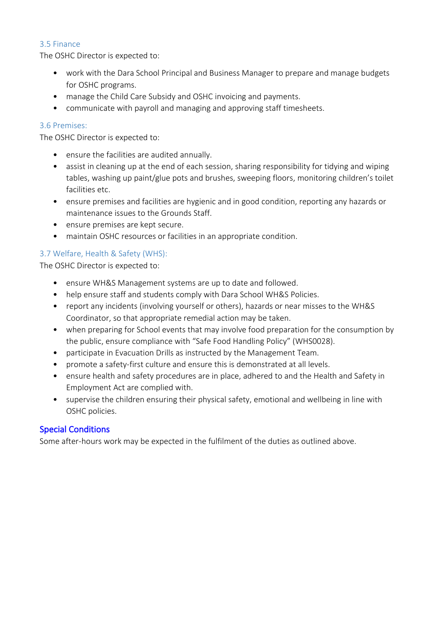#### 3.5 Finance

The OSHC Director is expected to:

- work with the Dara School Principal and Business Manager to prepare and manage budgets for OSHC programs.
- manage the Child Care Subsidy and OSHC invoicing and payments.
- communicate with payroll and managing and approving staff timesheets.

#### 3.6 Premises:

The OSHC Director is expected to:

- ensure the facilities are audited annually.
- assist in cleaning up at the end of each session, sharing responsibility for tidying and wiping tables, washing up paint/glue pots and brushes, sweeping floors, monitoring children's toilet facilities etc.
- ensure premises and facilities are hygienic and in good condition, reporting any hazards or maintenance issues to the Grounds Staff.
- ensure premises are kept secure.
- maintain OSHC resources or facilities in an appropriate condition.

## 3.7 Welfare, Health & Safety (WHS):

The OSHC Director is expected to:

- ensure WH&S Management systems are up to date and followed.
- help ensure staff and students comply with Dara School WH&S Policies.
- report any incidents (involving yourself or others), hazards or near misses to the WH&S Coordinator, so that appropriate remedial action may be taken.
- when preparing for School events that may involve food preparation for the consumption by the public, ensure compliance with "Safe Food Handling Policy" (WHS0028).
- participate in Evacuation Drills as instructed by the Management Team.
- promote a safety-first culture and ensure this is demonstrated at all levels.
- ensure health and safety procedures are in place, adhered to and the Health and Safety in Employment Act are complied with.
- supervise the children ensuring their physical safety, emotional and wellbeing in line with OSHC policies.

## Special Conditions

Some after-hours work may be expected in the fulfilment of the duties as outlined above.